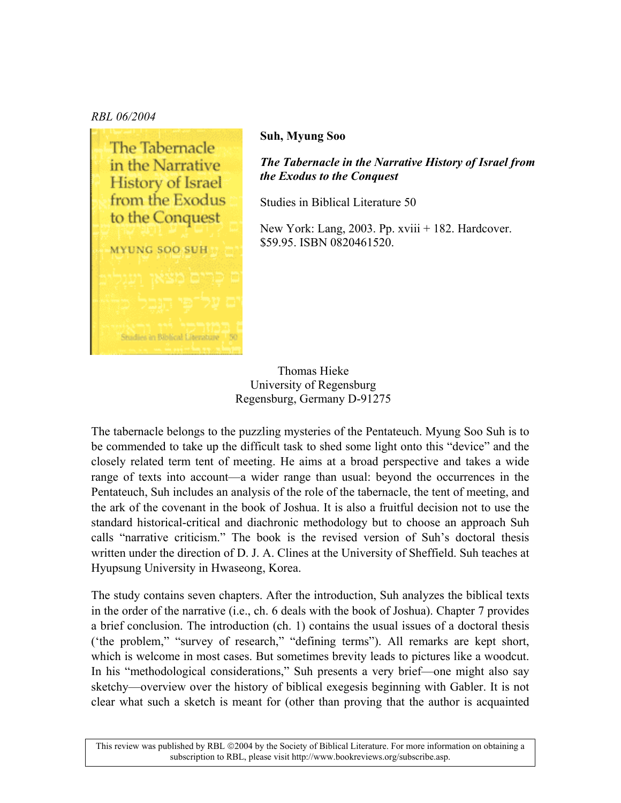## *RBL 06/2004*



## **Suh, Myung Soo**

*The Tabernacle in the Narrative History of Israel from the Exodus to the Conquest* 

Studies in Biblical Literature 50

New York: Lang, 2003. Pp. xviii + 182. Hardcover. \$59.95. ISBN 0820461520.

Thomas Hieke University of Regensburg Regensburg, Germany D-91275

The tabernacle belongs to the puzzling mysteries of the Pentateuch. Myung Soo Suh is to be commended to take up the difficult task to shed some light onto this "device" and the closely related term tent of meeting. He aims at a broad perspective and takes a wide range of texts into account—a wider range than usual: beyond the occurrences in the Pentateuch, Suh includes an analysis of the role of the tabernacle, the tent of meeting, and the ark of the covenant in the book of Joshua. It is also a fruitful decision not to use the standard historical-critical and diachronic methodology but to choose an approach Suh calls "narrative criticism." The book is the revised version of Suh's doctoral thesis written under the direction of D. J. A. Clines at the University of Sheffield. Suh teaches at Hyupsung University in Hwaseong, Korea.

The study contains seven chapters. After the introduction, Suh analyzes the biblical texts in the order of the narrative (i.e., ch. 6 deals with the book of Joshua). Chapter 7 provides a brief conclusion. The introduction (ch. 1) contains the usual issues of a doctoral thesis ('the problem," "survey of research," "defining terms"). All remarks are kept short, which is welcome in most cases. But sometimes brevity leads to pictures like a woodcut. In his "methodological considerations," Suh presents a very brief—one might also say sketchy—overview over the history of biblical exegesis beginning with Gabler. It is not clear what such a sketch is meant for (other than proving that the author is acquainted

This review was published by RBL ©2004 by the Society of Biblical Literature. For more information on obtaining a subscription to RBL, please visit http://www.bookreviews.org/subscribe.asp.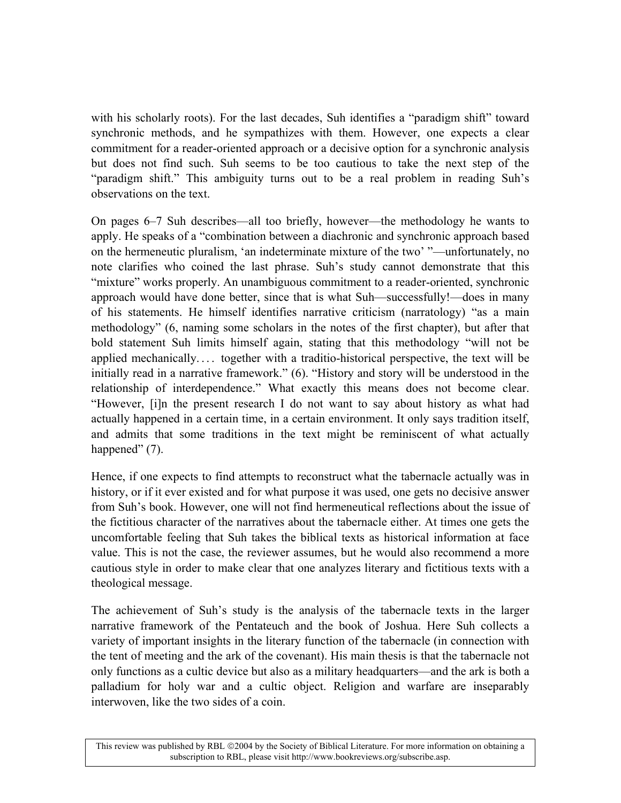with his scholarly roots). For the last decades, Suh identifies a "paradigm shift" toward synchronic methods, and he sympathizes with them. However, one expects a clear commitment for a reader-oriented approach or a decisive option for a synchronic analysis but does not find such. Suh seems to be too cautious to take the next step of the "paradigm shift." This ambiguity turns out to be a real problem in reading Suh's observations on the text.

On pages  $6-7$  Suh describes—all too briefly, however—the methodology he wants to apply. He speaks of a "combination between a diachronic and synchronic approach based on the hermeneutic pluralism, 'an indeterminate mixture of the two' "—unfortunately, no note clarifies who coined the last phrase. Suh's study cannot demonstrate that this ìmixtureî works properly. An unambiguous commitment to a reader-oriented, synchronic approach would have done better, since that is what Suh—successfully!—does in many of his statements. He himself identifies narrative criticism (narratology) "as a main methodologyî (6, naming some scholars in the notes of the first chapter), but after that bold statement Suh limits himself again, stating that this methodology "will not be applied mechanically.... together with a traditio-historical perspective, the text will be initially read in a narrative framework."  $(6)$ . "History and story will be understood in the relationship of interdependence." What exactly this means does not become clear. ìHowever, [i]n the present research I do not want to say about history as what had actually happened in a certain time, in a certain environment. It only says tradition itself, and admits that some traditions in the text might be reminiscent of what actually happened" $(7)$ .

Hence, if one expects to find attempts to reconstruct what the tabernacle actually was in history, or if it ever existed and for what purpose it was used, one gets no decisive answer from Suh's book. However, one will not find hermeneutical reflections about the issue of the fictitious character of the narratives about the tabernacle either. At times one gets the uncomfortable feeling that Suh takes the biblical texts as historical information at face value. This is not the case, the reviewer assumes, but he would also recommend a more cautious style in order to make clear that one analyzes literary and fictitious texts with a theological message.

The achievement of Suh's study is the analysis of the tabernacle texts in the larger narrative framework of the Pentateuch and the book of Joshua. Here Suh collects a variety of important insights in the literary function of the tabernacle (in connection with the tent of meeting and the ark of the covenant). His main thesis is that the tabernacle not only functions as a cultic device but also as a military headquarters—and the ark is both a palladium for holy war and a cultic object. Religion and warfare are inseparably interwoven, like the two sides of a coin.

This review was published by RBL ©2004 by the Society of Biblical Literature. For more information on obtaining a subscription to RBL, please visit http://www.bookreviews.org/subscribe.asp.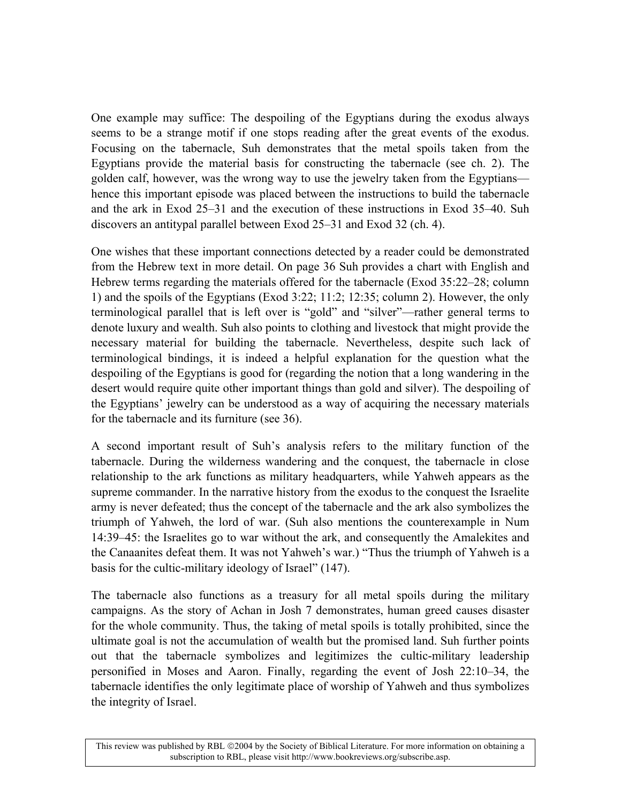One example may suffice: The despoiling of the Egyptians during the exodus always seems to be a strange motif if one stops reading after the great events of the exodus. Focusing on the tabernacle, Suh demonstrates that the metal spoils taken from the Egyptians provide the material basis for constructing the tabernacle (see ch. 2). The golden calf, however, was the wrong way to use the jewelry taken from the Egyptians hence this important episode was placed between the instructions to build the tabernacle and the ark in Exod  $25-31$  and the execution of these instructions in Exod  $35-40$ . Suh discovers an antitypal parallel between Exod  $25-31$  and Exod 32 (ch. 4).

One wishes that these important connections detected by a reader could be demonstrated from the Hebrew text in more detail. On page 36 Suh provides a chart with English and Hebrew terms regarding the materials offered for the tabernacle (Exod  $35:22-28$ ; column 1) and the spoils of the Egyptians (Exod 3:22; 11:2; 12:35; column 2). However, the only terminological parallel that is left over is "gold" and "silver"—rather general terms to denote luxury and wealth. Suh also points to clothing and livestock that might provide the necessary material for building the tabernacle. Nevertheless, despite such lack of terminological bindings, it is indeed a helpful explanation for the question what the despoiling of the Egyptians is good for (regarding the notion that a long wandering in the desert would require quite other important things than gold and silver). The despoiling of the Egyptians' jewelry can be understood as a way of acquiring the necessary materials for the tabernacle and its furniture (see 36).

A second important result of Suh's analysis refers to the military function of the tabernacle. During the wilderness wandering and the conquest, the tabernacle in close relationship to the ark functions as military headquarters, while Yahweh appears as the supreme commander. In the narrative history from the exodus to the conquest the Israelite army is never defeated; thus the concept of the tabernacle and the ark also symbolizes the triumph of Yahweh, the lord of war. (Suh also mentions the counterexample in Num 14:39–45: the Israelites go to war without the ark, and consequently the Amalekites and the Canaanites defeat them. It was not Yahweh's war.) "Thus the triumph of Yahweh is a basis for the cultic-military ideology of Israel" (147).

The tabernacle also functions as a treasury for all metal spoils during the military campaigns. As the story of Achan in Josh 7 demonstrates, human greed causes disaster for the whole community. Thus, the taking of metal spoils is totally prohibited, since the ultimate goal is not the accumulation of wealth but the promised land. Suh further points out that the tabernacle symbolizes and legitimizes the cultic-military leadership personified in Moses and Aaron. Finally, regarding the event of Josh 22:10–34, the tabernacle identifies the only legitimate place of worship of Yahweh and thus symbolizes the integrity of Israel.

This review was published by RBL ©2004 by the Society of Biblical Literature. For more information on obtaining a subscription to RBL, please visit http://www.bookreviews.org/subscribe.asp.